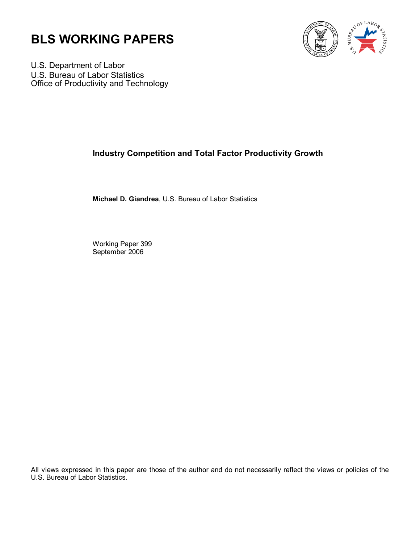



U.S. Department of Labor U.S. Bureau of Labor Statistics Office of Productivity and Technology

## **Industry Competition and Total Factor Productivity Growth**

**Michael D. Giandrea**, U.S. Bureau of Labor Statistics

Working Paper 399 September 2006

All views expressed in this paper are those of the author and do not necessarily reflect the views or policies of the U.S. Bureau of Labor Statistics.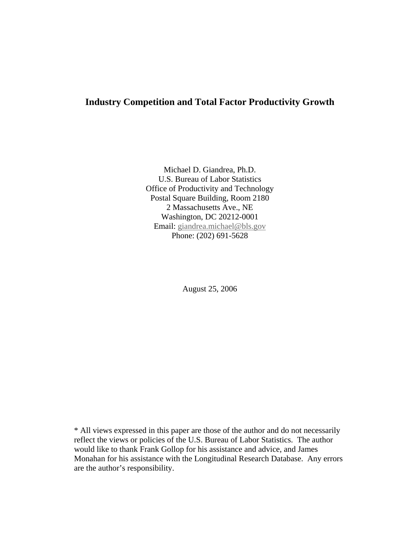## **Industry Competition and Total Factor Productivity Growth**

Michael D. Giandrea, Ph.D. U.S. Bureau of Labor Statistics Office of Productivity and Technology Postal Square Building, Room 2180 2 Massachusetts Ave., NE Washington, DC 20212-0001 Email: [giandrea.michael@bls.gov](mailto:giandrea.michael@bls.gov) Phone: (202) 691-5628

August 25, 2006

\* All views expressed in this paper are those of the author and do not necessarily reflect the views or policies of the U.S. Bureau of Labor Statistics. The author would like to thank Frank Gollop for his assistance and advice, and James Monahan for his assistance with the Longitudinal Research Database. Any errors are the author's responsibility.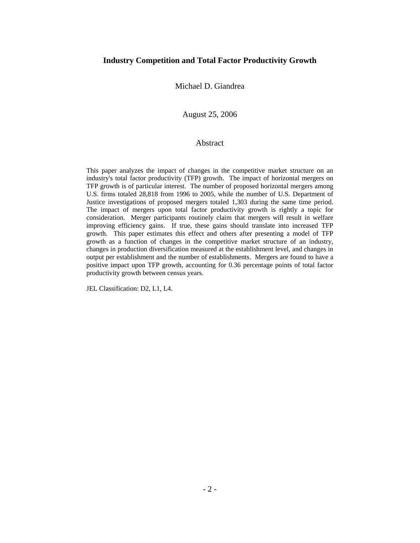### **Industry Competition and Total Factor Productivity Growth**

Michael D. Giandrea

August 25, 2006

### Abstract

This paper analyzes the impact of changes in the competitive market structure on an industry's total factor productivity (TFP) growth. The impact of horizontal mergers on TFP growth is of particular interest. The number of proposed horizontal mergers among U.S. firms totaled 28,818 from 1996 to 2005, while the number of U.S. Department of Justice investigations of proposed mergers totaled 1,303 during the same time period. The impact of mergers upon total factor productivity growth is rightly a topic for consideration. Merger participants routinely claim that mergers will result in welfare improving efficiency gains. If true, these gains should translate into increased TFP growth. This paper estimates this effect and others after presenting a model of TFP growth as a function of changes in the competitive market structure of an industry, changes in production diversification measured at the establishment level, and changes in output per establishment and the number of establishments. Mergers are found to have a positive impact upon TFP growth, accounting for 0.36 percentage points of total factor productivity growth between census years.

JEL Classification: D2, L1, L4.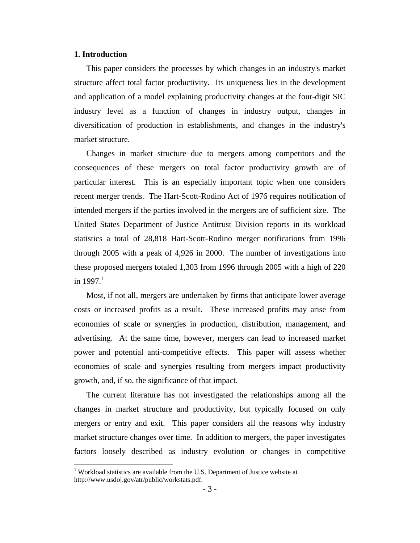### **1. Introduction**

 $\overline{a}$ 

This paper considers the processes by which changes in an industry's market structure affect total factor productivity. Its uniqueness lies in the development and application of a model explaining productivity changes at the four-digit SIC industry level as a function of changes in industry output, changes in diversification of production in establishments, and changes in the industry's market structure.

Changes in market structure due to mergers among competitors and the consequences of these mergers on total factor productivity growth are of particular interest. This is an especially important topic when one considers recent merger trends. The Hart-Scott-Rodino Act of 1976 requires notification of intended mergers if the parties involved in the mergers are of sufficient size. The United States Department of Justice Antitrust Division reports in its workload statistics a total of 28,818 Hart-Scott-Rodino merger notifications from 1996 through 2005 with a peak of 4,926 in 2000. The number of investigations into these proposed mergers totaled 1,303 from 1996 through 2005 with a high of 220 in [1](#page-3-0)997 $^{-1}$ 

Most, if not all, mergers are undertaken by firms that anticipate lower average costs or increased profits as a result. These increased profits may arise from economies of scale or synergies in production, distribution, management, and advertising. At the same time, however, mergers can lead to increased market power and potential anti-competitive effects. This paper will assess whether economies of scale and synergies resulting from mergers impact productivity growth, and, if so, the significance of that impact.

The current literature has not investigated the relationships among all the changes in market structure and productivity, but typically focused on only mergers or entry and exit. This paper considers all the reasons why industry market structure changes over time. In addition to mergers, the paper investigates factors loosely described as industry evolution or changes in competitive

<span id="page-3-0"></span><sup>&</sup>lt;sup>1</sup> Workload statistics are available from the U.S. Department of Justice website at http://www.usdoj.gov/atr/public/workstats.pdf.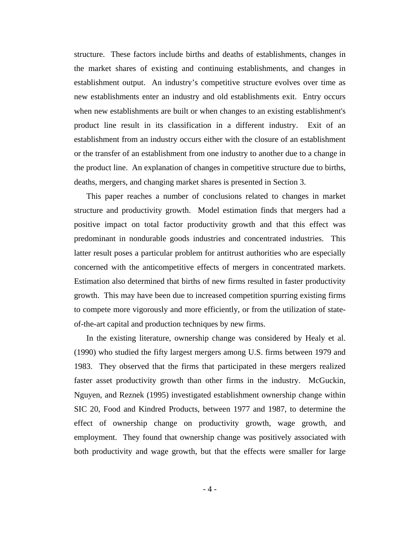structure. These factors include births and deaths of establishments, changes in the market shares of existing and continuing establishments, and changes in establishment output. An industry's competitive structure evolves over time as new establishments enter an industry and old establishments exit. Entry occurs when new establishments are built or when changes to an existing establishment's product line result in its classification in a different industry. Exit of an establishment from an industry occurs either with the closure of an establishment or the transfer of an establishment from one industry to another due to a change in the product line. An explanation of changes in competitive structure due to births, deaths, mergers, and changing market shares is presented in Section 3.

This paper reaches a number of conclusions related to changes in market structure and productivity growth. Model estimation finds that mergers had a positive impact on total factor productivity growth and that this effect was predominant in nondurable goods industries and concentrated industries. This latter result poses a particular problem for antitrust authorities who are especially concerned with the anticompetitive effects of mergers in concentrated markets. Estimation also determined that births of new firms resulted in faster productivity growth. This may have been due to increased competition spurring existing firms to compete more vigorously and more efficiently, or from the utilization of stateof-the-art capital and production techniques by new firms.

In the existing literature, ownership change was considered by Healy et al. (1990) who studied the fifty largest mergers among U.S. firms between 1979 and 1983. They observed that the firms that participated in these mergers realized faster asset productivity growth than other firms in the industry. McGuckin, Nguyen, and Reznek (1995) investigated establishment ownership change within SIC 20, Food and Kindred Products, between 1977 and 1987, to determine the effect of ownership change on productivity growth, wage growth, and employment. They found that ownership change was positively associated with both productivity and wage growth, but that the effects were smaller for large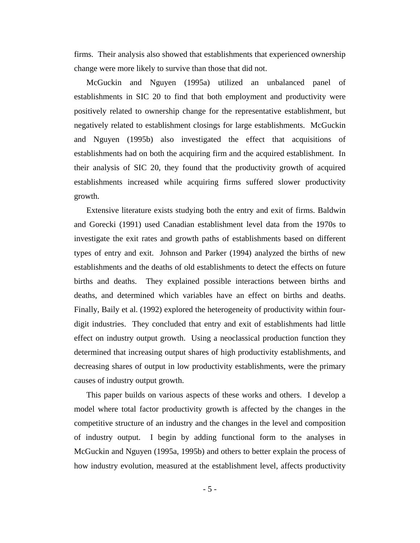firms. Their analysis also showed that establishments that experienced ownership change were more likely to survive than those that did not.

McGuckin and Nguyen (1995a) utilized an unbalanced panel of establishments in SIC 20 to find that both employment and productivity were positively related to ownership change for the representative establishment, but negatively related to establishment closings for large establishments. McGuckin and Nguyen (1995b) also investigated the effect that acquisitions of establishments had on both the acquiring firm and the acquired establishment. In their analysis of SIC 20, they found that the productivity growth of acquired establishments increased while acquiring firms suffered slower productivity growth.

Extensive literature exists studying both the entry and exit of firms. Baldwin and Gorecki (1991) used Canadian establishment level data from the 1970s to investigate the exit rates and growth paths of establishments based on different types of entry and exit. Johnson and Parker (1994) analyzed the births of new establishments and the deaths of old establishments to detect the effects on future births and deaths. They explained possible interactions between births and deaths, and determined which variables have an effect on births and deaths. Finally, Baily et al. (1992) explored the heterogeneity of productivity within fourdigit industries. They concluded that entry and exit of establishments had little effect on industry output growth. Using a neoclassical production function they determined that increasing output shares of high productivity establishments, and decreasing shares of output in low productivity establishments, were the primary causes of industry output growth.

This paper builds on various aspects of these works and others. I develop a model where total factor productivity growth is affected by the changes in the competitive structure of an industry and the changes in the level and composition of industry output. I begin by adding functional form to the analyses in McGuckin and Nguyen (1995a, 1995b) and others to better explain the process of how industry evolution, measured at the establishment level, affects productivity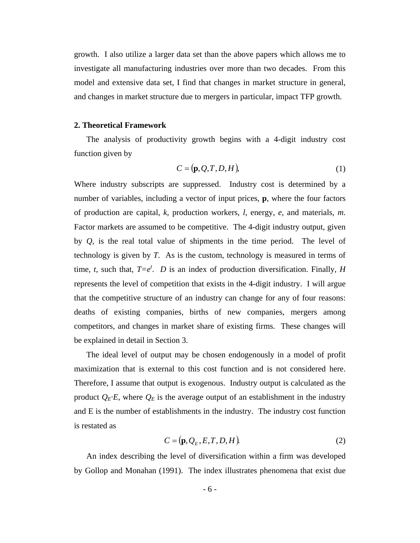growth. I also utilize a larger data set than the above papers which allows me to investigate all manufacturing industries over more than two decades. From this model and extensive data set, I find that changes in market structure in general, and changes in market structure due to mergers in particular, impact TFP growth.

#### **2. Theoretical Framework**

The analysis of productivity growth begins with a 4-digit industry cost function given by

$$
C = (\mathbf{p}, Q, T, D, H),\tag{1}
$$

Where industry subscripts are suppressed. Industry cost is determined by a number of variables, including a vector of input prices, **p**, where the four factors of production are capital, *k*, production workers, *l*, energy, *e*, and materials, *m*. Factor markets are assumed to be competitive. The 4-digit industry output, given by *Q*, is the real total value of shipments in the time period. The level of technology is given by *T*. As is the custom, technology is measured in terms of time, *t*, such that,  $T=e^t$ . *D* is an index of production diversification. Finally, *H* represents the level of competition that exists in the 4-digit industry. I will argue that the competitive structure of an industry can change for any of four reasons: deaths of existing companies, births of new companies, mergers among competitors, and changes in market share of existing firms. These changes will be explained in detail in Section 3.

The ideal level of output may be chosen endogenously in a model of profit maximization that is external to this cost function and is not considered here. Therefore, I assume that output is exogenous. Industry output is calculated as the product  $Q_E \cdot E$ , where  $Q_E$  is the average output of an establishment in the industry and E is the number of establishments in the industry. The industry cost function is restated as

$$
C = (\mathbf{p}, Q_E, E, T, D, H) \tag{2}
$$

An index describing the level of diversification within a firm was developed by Gollop and Monahan (1991). The index illustrates phenomena that exist due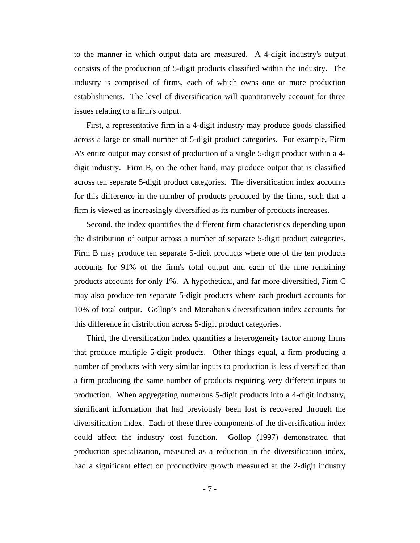to the manner in which output data are measured. A 4-digit industry's output consists of the production of 5-digit products classified within the industry. The industry is comprised of firms, each of which owns one or more production establishments. The level of diversification will quantitatively account for three issues relating to a firm's output.

First, a representative firm in a 4-digit industry may produce goods classified across a large or small number of 5-digit product categories. For example, Firm A's entire output may consist of production of a single 5-digit product within a 4 digit industry. Firm B, on the other hand, may produce output that is classified across ten separate 5-digit product categories. The diversification index accounts for this difference in the number of products produced by the firms, such that a firm is viewed as increasingly diversified as its number of products increases.

Second, the index quantifies the different firm characteristics depending upon the distribution of output across a number of separate 5-digit product categories. Firm B may produce ten separate 5-digit products where one of the ten products accounts for 91% of the firm's total output and each of the nine remaining products accounts for only 1%. A hypothetical, and far more diversified, Firm C may also produce ten separate 5-digit products where each product accounts for 10% of total output. Gollop's and Monahan's diversification index accounts for this difference in distribution across 5-digit product categories.

Third, the diversification index quantifies a heterogeneity factor among firms that produce multiple 5-digit products. Other things equal, a firm producing a number of products with very similar inputs to production is less diversified than a firm producing the same number of products requiring very different inputs to production. When aggregating numerous 5-digit products into a 4-digit industry, significant information that had previously been lost is recovered through the diversification index. Each of these three components of the diversification index could affect the industry cost function. Gollop (1997) demonstrated that production specialization, measured as a reduction in the diversification index, had a significant effect on productivity growth measured at the 2-digit industry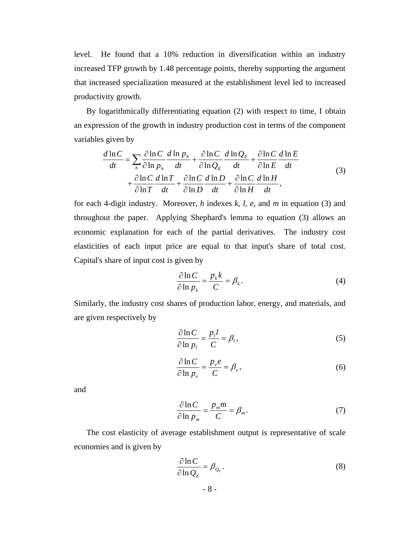level. He found that a 10% reduction in diversification within an industry increased TFP growth by 1.48 percentage points, thereby supporting the argument that increased specialization measured at the establishment level led to increased productivity growth.

By logarithmically differentiating equation (2) with respect to time, I obtain an expression of the growth in industry production cost in terms of the component variables given by

$$
\frac{d\ln C}{dt} = \sum_{h} \frac{\partial \ln C}{\partial \ln p_{h}} \frac{d\ln p_{h}}{dt} + \frac{\partial \ln C}{\partial \ln Q_{E}} \frac{d\ln Q_{E}}{dt} + \frac{\partial \ln C}{\partial \ln E} \frac{d\ln E}{dt} + \frac{\partial \ln C}{\partial \ln T} \frac{d\ln T}{dt} + \frac{\partial \ln C}{\partial \ln D} \frac{d\ln D}{dt} + \frac{\partial \ln C}{\partial \ln H} \frac{d\ln H}{dt},
$$
\n(3)

for each 4-digit industry. Moreover, *h* indexes *k, l, e,* and *m* in equation (3) and throughout the paper. Applying Shephard's lemma to equation (3) allows an economic explanation for each of the partial derivatives. The industry cost elasticities of each input price are equal to that input's share of total cost. Capital's share of input cost is given by

$$
\frac{\partial \ln C}{\partial \ln p_k} = \frac{p_k k}{C} = \beta_k.
$$
\n(4)

Similarly, the industry cost shares of production labor, energy, and materials, and are given respectively by

$$
\frac{\partial \ln C}{\partial \ln p_i} = \frac{p_i l}{C} = \beta_i,
$$
\n(5)

$$
\frac{\partial \ln C}{\partial \ln p_e} = \frac{p_e e}{C} = \beta_e,
$$
\n(6)

and

$$
\frac{\partial \ln C}{\partial \ln p_m} = \frac{p_m m}{C} = \beta_m.
$$
 (7)

The cost elasticity of average establishment output is representative of scale economies and is given by

$$
\frac{\partial \ln C}{\partial \ln Q_E} = \beta_{Q_E}.
$$
\n(8)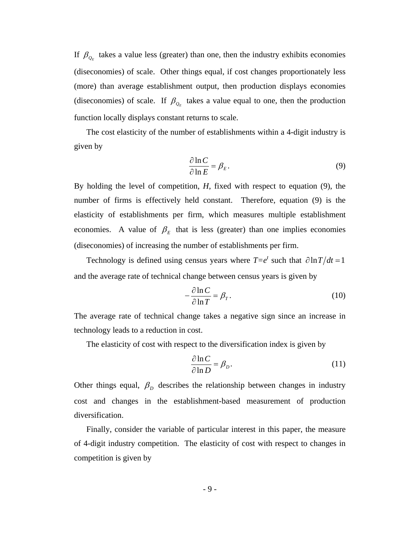If  $\beta_{Q_F}$  takes a value less (greater) than one, then the industry exhibits economies (diseconomies) of scale. Other things equal, if cost changes proportionately less (more) than average establishment output, then production displays economies (diseconomies) of scale. If  $\beta_{Q_F}$  takes a value equal to one, then the production function locally displays constant returns to scale.

The cost elasticity of the number of establishments within a 4-digit industry is given by

$$
\frac{\partial \ln C}{\partial \ln E} = \beta_E. \tag{9}
$$

By holding the level of competition, *H*, fixed with respect to equation (9), the number of firms is effectively held constant. Therefore, equation (9) is the elasticity of establishments per firm, which measures multiple establishment economies. A value of  $\beta_E$  that is less (greater) than one implies economies (diseconomies) of increasing the number of establishments per firm.

Technology is defined using census years where  $T=e^t$  such that  $\partial \ln T/dt = 1$ and the average rate of technical change between census years is given by

$$
-\frac{\partial \ln C}{\partial \ln T} = \beta_T. \tag{10}
$$

The average rate of technical change takes a negative sign since an increase in technology leads to a reduction in cost.

The elasticity of cost with respect to the diversification index is given by

$$
\frac{\partial \ln C}{\partial \ln D} = \beta_D. \tag{11}
$$

Other things equal,  $\beta_p$  describes the relationship between changes in industry cost and changes in the establishment-based measurement of production diversification.

 Finally, consider the variable of particular interest in this paper, the measure of 4-digit industry competition. The elasticity of cost with respect to changes in competition is given by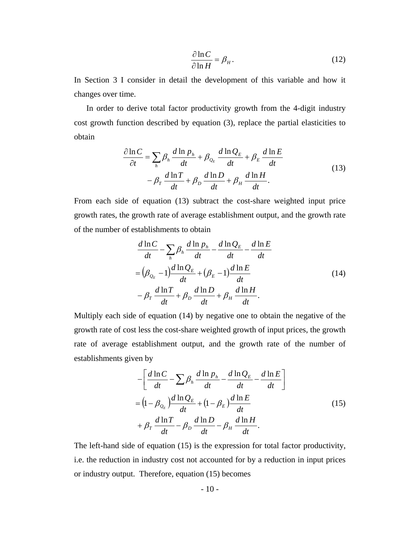$$
\frac{\partial \ln C}{\partial \ln H} = \beta_H.
$$
 (12)

In Section 3 I consider in detail the development of this variable and how it changes over time.

In order to derive total factor productivity growth from the 4-digit industry cost growth function described by equation (3), replace the partial elasticities to obtain

$$
\frac{\partial \ln C}{\partial t} = \sum_{h} \beta_{h} \frac{d \ln p_{h}}{dt} + \beta_{Q_{E}} \frac{d \ln Q_{E}}{dt} + \beta_{E} \frac{d \ln E}{dt}
$$
  

$$
- \beta_{T} \frac{d \ln T}{dt} + \beta_{D} \frac{d \ln D}{dt} + \beta_{H} \frac{d \ln H}{dt}.
$$
 (13)

From each side of equation (13) subtract the cost-share weighted input price growth rates, the growth rate of average establishment output, and the growth rate of the number of establishments to obtain

$$
\frac{d \ln C}{dt} - \sum_{h} \beta_{h} \frac{d \ln p_{h}}{dt} - \frac{d \ln Q_{E}}{dt} - \frac{d \ln E}{dt}
$$
\n
$$
= (\beta_{Q_{E}} - 1) \frac{d \ln Q_{E}}{dt} + (\beta_{E} - 1) \frac{d \ln E}{dt}
$$
\n
$$
- \beta_{T} \frac{d \ln T}{dt} + \beta_{D} \frac{d \ln D}{dt} + \beta_{H} \frac{d \ln H}{dt}.
$$
\n(14)

Multiply each side of equation (14) by negative one to obtain the negative of the growth rate of cost less the cost-share weighted growth of input prices, the growth rate of average establishment output, and the growth rate of the number of establishments given by

$$
-\left[\frac{d\ln C}{dt} - \sum_{k} \beta_{k} \frac{d\ln p_{h}}{dt} - \frac{d\ln Q_{E}}{dt} - \frac{d\ln E}{dt}\right]
$$
  
=  $\left(1 - \beta_{Q_{E}}\right) \frac{d\ln Q_{E}}{dt} + \left(1 - \beta_{E}\right) \frac{d\ln E}{dt}$   
+  $\beta_{T} \frac{d\ln T}{dt} - \beta_{D} \frac{d\ln D}{dt} - \beta_{H} \frac{d\ln H}{dt}$ . (15)

The left-hand side of equation (15) is the expression for total factor productivity, i.e. the reduction in industry cost not accounted for by a reduction in input prices or industry output. Therefore, equation (15) becomes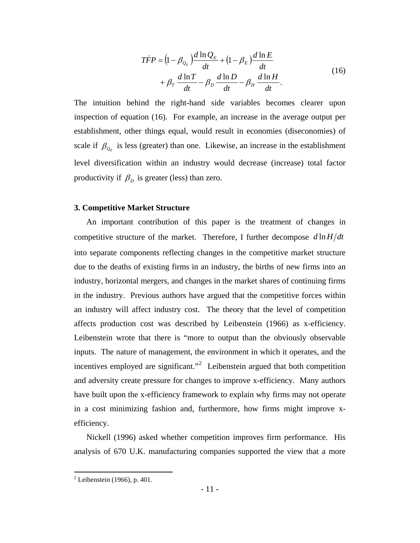$$
\begin{split} T\dot{F}P &= \left(1 - \beta_{\mathcal{Q}_E}\right) \frac{d\ln Q_E}{dt} + \left(1 - \beta_E\right) \frac{d\ln E}{dt} \\ &+ \beta_T \frac{d\ln T}{dt} - \beta_D \frac{d\ln D}{dt} - \beta_H \frac{d\ln H}{dt} .\end{split} \tag{16}
$$

The intuition behind the right-hand side variables becomes clearer upon inspection of equation (16). For example, an increase in the average output per establishment, other things equal, would result in economies (diseconomies) of scale if  $\beta_{Q_E}$  is less (greater) than one. Likewise, an increase in the establishment level diversification within an industry would decrease (increase) total factor productivity if  $\beta_p$  is greater (less) than zero.

#### **3. Competitive Market Structure**

An important contribution of this paper is the treatment of changes in competitive structure of the market. Therefore, I further decompose  $d \ln H/dt$ into separate components reflecting changes in the competitive market structure due to the deaths of existing firms in an industry, the births of new firms into an industry, horizontal mergers, and changes in the market shares of continuing firms in the industry. Previous authors have argued that the competitive forces within an industry will affect industry cost. The theory that the level of competition affects production cost was described by Leibenstein (1966) as x-efficiency. Leibenstein wrote that there is "more to output than the obviously observable inputs. The nature of management, the environment in which it operates, and the incentives employed are significant."<sup>[2](#page-11-0)</sup> Leibenstein argued that both competition and adversity create pressure for changes to improve x-efficiency. Many authors have built upon the x-efficiency framework to explain why firms may not operate in a cost minimizing fashion and, furthermore, how firms might improve xefficiency.

Nickell (1996) asked whether competition improves firm performance. His analysis of 670 U.K. manufacturing companies supported the view that a more

<span id="page-11-0"></span> 2 Leibenstein (1966), p. 401.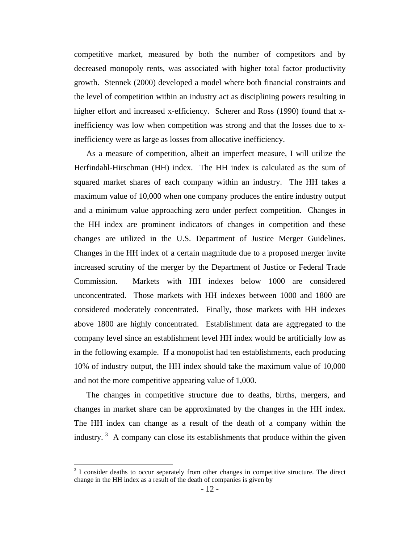competitive market, measured by both the number of competitors and by decreased monopoly rents, was associated with higher total factor productivity growth. Stennek (2000) developed a model where both financial constraints and the level of competition within an industry act as disciplining powers resulting in higher effort and increased x-efficiency. Scherer and Ross (1990) found that xinefficiency was low when competition was strong and that the losses due to xinefficiency were as large as losses from allocative inefficiency.

As a measure of competition, albeit an imperfect measure, I will utilize the Herfindahl-Hirschman (HH) index. The HH index is calculated as the sum of squared market shares of each company within an industry. The HH takes a maximum value of 10,000 when one company produces the entire industry output and a minimum value approaching zero under perfect competition. Changes in the HH index are prominent indicators of changes in competition and these changes are utilized in the U.S. Department of Justice Merger Guidelines. Changes in the HH index of a certain magnitude due to a proposed merger invite increased scrutiny of the merger by the Department of Justice or Federal Trade Commission. Markets with HH indexes below 1000 are considered unconcentrated. Those markets with HH indexes between 1000 and 1800 are considered moderately concentrated. Finally, those markets with HH indexes above 1800 are highly concentrated. Establishment data are aggregated to the company level since an establishment level HH index would be artificially low as in the following example. If a monopolist had ten establishments, each producing 10% of industry output, the HH index should take the maximum value of 10,000 and not the more competitive appearing value of 1,000.

The changes in competitive structure due to deaths, births, mergers, and changes in market share can be approximated by the changes in the HH index. The HH index can change as a result of the death of a company within the industry.<sup>[3](#page-12-0)</sup> A company can close its establishments that produce within the given

<span id="page-12-0"></span><sup>&</sup>lt;sup>3</sup> I consider deaths to occur separately from other changes in competitive structure. The direct change in the HH index as a result of the death of companies is given by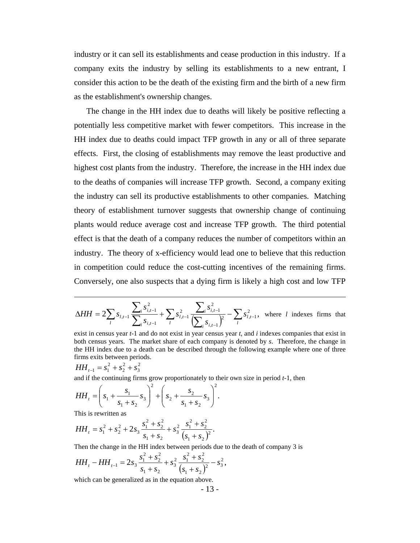industry or it can sell its establishments and cease production in this industry. If a company exits the industry by selling its establishments to a new entrant, I consider this action to be the death of the existing firm and the birth of a new firm as the establishment's ownership changes.

The change in the HH index due to deaths will likely be positive reflecting a potentially less competitive market with fewer competitors. This increase in the HH index due to deaths could impact TFP growth in any or all of three separate effects. First, the closing of establishments may remove the least productive and highest cost plants from the industry. Therefore, the increase in the HH index due to the deaths of companies will increase TFP growth. Second, a company exiting the industry can sell its productive establishments to other companies. Matching theory of establishment turnover suggests that ownership change of continuing plants would reduce average cost and increase TFP growth. The third potential effect is that the death of a company reduces the number of competitors within an industry. The theory of x-efficiency would lead one to believe that this reduction in competition could reduce the cost-cutting incentives of the remaining firms. Conversely, one also suspects that a dying firm is likely a high cost and low TFP

$$
\Delta H H = 2 \sum_{l} s_{l,t-1} \frac{\sum_{i} s_{i,t-1}^2}{\sum_{i} s_{i,t-1}} + \sum_{l} s_{l,t-1}^2 \frac{\sum_{i} s_{i,t-1}^2}{\left(\sum_{i} s_{i,t-1}\right)^2} - \sum_{l} s_{l,t-1}^2
$$
, where *l* indexes firms that

.

$$
HH_{t-1} = s_1^2 + s_2^2 + s_3^2
$$

and if the continuing firms grow proportionately to their own size in period *t-*1, then

$$
HH_{t} = \left(s_{1} + \frac{s_{1}}{s_{1} + s_{2}} s_{3}\right)^{2} + \left(s_{2} + \frac{s_{2}}{s_{1} + s_{2}} s_{3}\right)^{2}
$$

This is rewritten as

$$
HH_t = s_1^2 + s_2^2 + 2s_3 \frac{s_1^2 + s_2^2}{s_1 + s_2} + s_3^2 \frac{s_1^2 + s_2^2}{(s_1 + s_2)^2}.
$$

Then the change in the HH index between periods due to the death of company 3 is

$$
HH_{t} - HH_{t-1} = 2s_{3} \frac{s_{1}^{2} + s_{2}^{2}}{s_{1} + s_{2}} + s_{3}^{2} \frac{s_{1}^{2} + s_{2}^{2}}{(s_{1} + s_{2})^{2}} - s_{3}^{2},
$$

which can be generalized as in the equation above.

- 13 -

exist in census year *t-*1 and do not exist in year census year *t*, and *i* indexes companies that exist in both census years. The market share of each company is denoted by *s*. Therefore, the change in the HH index due to a death can be described through the following example where one of three firms exits between periods.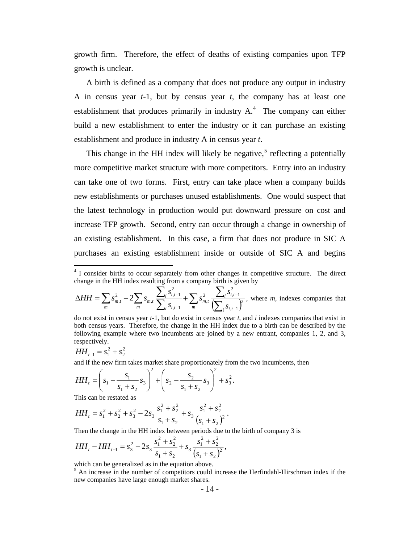growth firm. Therefore, the effect of deaths of existing companies upon TFP growth is unclear.

A birth is defined as a company that does not produce any output in industry A in census year *t-*1, but by census year *t*, the company has at least one establishment that produces primarily in industry  $A<sup>4</sup>$  $A<sup>4</sup>$  $A<sup>4</sup>$ . The company can either build a new establishment to enter the industry or it can purchase an existing establishment and produce in industry A in census year *t*.

This change in the HH index will likely be negative,<sup>[5](#page-14-1)</sup> reflecting a potentially more competitive market structure with more competitors. Entry into an industry can take one of two forms. First, entry can take place when a company builds new establishments or purchases unused establishments. One would suspect that the latest technology in production would put downward pressure on cost and increase TFP growth. Second, entry can occur through a change in ownership of an existing establishment. In this case, a firm that does not produce in SIC A purchases an existing establishment inside or outside of SIC A and begins

$$
\Delta HH = \sum_{m} s_{m,t}^2 - 2 \sum_{m} s_{m,t} \frac{\sum_{i} s_{i,t-1}^2}{\sum_{i} s_{i,t-1}} + \sum_{m} s_{m,t}^2 \frac{\sum_{i} s_{i,t-1}^2}{\left(\sum_{i} s_{i,t-1}\right)^2}
$$
, where *m*, indexes companies that

do not exist in census year *t*-1, but do exist in census year *t*, and *i* indexes companies that exist in both census years. Therefore, the change in the HH index due to a birth can be described by the following example where two incumbents are joined by a new entrant, companies 1, 2, and 3, respectively.

.

2 2  $HH_{t-1} = s_1^2 + s$ 

 $\overline{a}$ 

and if the new firm takes market share proportionately from the two incumbents, then

$$
HH_{t} = \left(s_{1} - \frac{s_{1}}{s_{1} + s_{2}} s_{3}\right)^{2} + \left(s_{2} - \frac{s_{2}}{s_{1} + s_{2}} s_{3}\right)^{2} + s_{3}^{2}
$$

This can be restated as

$$
HH_t = s_1^2 + s_2^2 + s_3^2 - 2s_3 \frac{s_1^2 + s_2^2}{s_1 + s_2} + s_3 \frac{s_1^2 + s_2^2}{(s_1 + s_2)^2}.
$$

Then the change in the HH index between periods due to the birth of company 3 is

$$
HH_t - HH_{t-1} = s_3^2 - 2s_3 \frac{s_1^2 + s_2^2}{s_1 + s_2} + s_3 \frac{s_1^2 + s_2^2}{(s_1 + s_2)^2},
$$

which can be generalized as in the equation above.

<span id="page-14-1"></span><sup>5</sup> An increase in the number of competitors could increase the Herfindahl-Hirschman index if the new companies have large enough market shares.

<span id="page-14-0"></span><sup>&</sup>lt;sup>4</sup> I consider births to occur separately from other changes in competitive structure. The direct change in the HH index resulting from a company birth is given by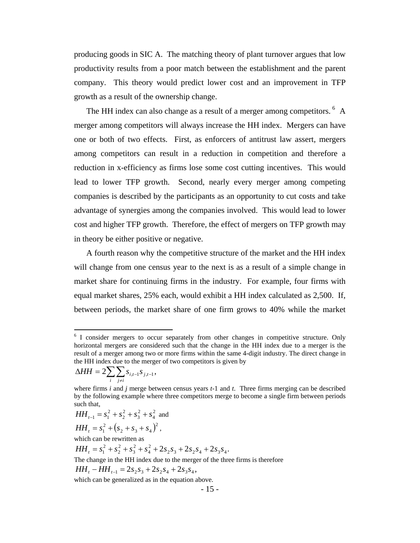producing goods in SIC A. The matching theory of plant turnover argues that low productivity results from a poor match between the establishment and the parent company. This theory would predict lower cost and an improvement in TFP growth as a result of the ownership change.

The HH index can also change as a result of a merger among competitors. <sup>[6](#page-15-0)</sup> A merger among competitors will always increase the HH index. Mergers can have one or both of two effects. First, as enforcers of antitrust law assert, mergers among competitors can result in a reduction in competition and therefore a reduction in x-efficiency as firms lose some cost cutting incentives. This would lead to lower TFP growth. Second, nearly every merger among competing companies is described by the participants as an opportunity to cut costs and take advantage of synergies among the companies involved. This would lead to lower cost and higher TFP growth. Therefore, the effect of mergers on TFP growth may in theory be either positive or negative.

 A fourth reason why the competitive structure of the market and the HH index will change from one census year to the next is as a result of a simple change in market share for continuing firms in the industry. For example, four firms with equal market shares, 25% each, would exhibit a HH index calculated as 2,500. If, between periods, the market share of one firm grows to 40% while the market

$$
\Delta H H = 2 \sum_{i} \sum_{j \neq i} s_{i,t-1} s_{j,t-1},
$$

1

2 4 2 3 2 2  $HH_{t-1} = s_1^2 + s_2^2 + s_3^2 + s_4^2$  and

$$
HH_t = s_1^2 + (s_2 + s_3 + s_4)^2,
$$

which can be rewritten as

 $_4^2 + 2s_2s_3 + 2s_2s_4 + 2s_3s_4$ . 2 3 2 2  $HH_t = s_1^2 + s_2^2 + s_3^2 + s_4^2 + 2s_2s_3 + 2s_2s_4 + 2s_3s$ 

The change in the HH index due to the merger of the three firms is therefore

 $HH_{t} - HH_{t-1} = 2s_2s_3 + 2s_2s_4 + 2s_3s_4$ 

which can be generalized as in the equation above.

<span id="page-15-0"></span><sup>&</sup>lt;sup>6</sup> I consider mergers to occur separately from other changes in competitive structure. Only horizontal mergers are considered such that the change in the HH index due to a merger is the result of a merger among two or more firms within the same 4-digit industry. The direct change in the HH index due to the merger of two competitors is given by

where firms *i* and *j* merge between census years *t-*1 and *t*. Three firms merging can be described by the following example where three competitors merge to become a single firm between periods such that,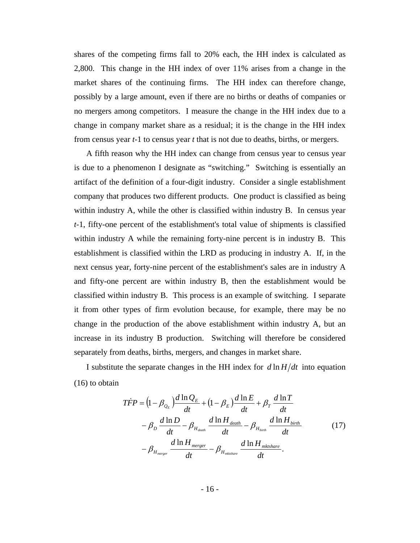shares of the competing firms fall to 20% each, the HH index is calculated as 2,800. This change in the HH index of over 11% arises from a change in the market shares of the continuing firms. The HH index can therefore change, possibly by a large amount, even if there are no births or deaths of companies or no mergers among competitors. I measure the change in the HH index due to a change in company market share as a residual; it is the change in the HH index from census year *t-*1 to census year *t* that is not due to deaths, births, or mergers.

A fifth reason why the HH index can change from census year to census year is due to a phenomenon I designate as "switching." Switching is essentially an artifact of the definition of a four-digit industry. Consider a single establishment company that produces two different products. One product is classified as being within industry A, while the other is classified within industry B. In census year *t-*1, fifty-one percent of the establishment's total value of shipments is classified within industry A while the remaining forty-nine percent is in industry B. This establishment is classified within the LRD as producing in industry A. If, in the next census year, forty-nine percent of the establishment's sales are in industry A and fifty-one percent are within industry B, then the establishment would be classified within industry B. This process is an example of switching. I separate it from other types of firm evolution because, for example, there may be no change in the production of the above establishment within industry A, but an increase in its industry B production. Switching will therefore be considered separately from deaths, births, mergers, and changes in market share.

I substitute the separate changes in the HH index for  $d \ln H/dt$  into equation (16) to obtain

$$
\begin{split} T\dot{F}P &= \left(1 - \beta_{Q_E}\right) \frac{d\ln Q_E}{dt} + \left(1 - \beta_E\right) \frac{d\ln E}{dt} + \beta_T \frac{d\ln T}{dt} \\ &- \beta_D \frac{d\ln D}{dt} - \beta_{H_{death}} \frac{d\ln H_{death}}{dt} - \beta_{H_{birth}} \frac{d\ln H_{birth}}{dt} \\ &- \beta_{H_{merger}} \frac{d\ln H_{merger}}{dt} - \beta_{H_{mkshare}} \frac{d\ln H_{mkshare}}{dt} . \end{split} \tag{17}
$$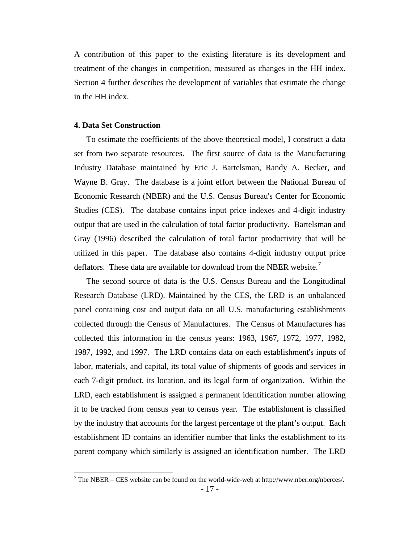A contribution of this paper to the existing literature is its development and treatment of the changes in competition, measured as changes in the HH index. Section 4 further describes the development of variables that estimate the change in the HH index.

#### **4. Data Set Construction**

To estimate the coefficients of the above theoretical model, I construct a data set from two separate resources. The first source of data is the Manufacturing Industry Database maintained by Eric J. Bartelsman, Randy A. Becker, and Wayne B. Gray. The database is a joint effort between the National Bureau of Economic Research (NBER) and the U.S. Census Bureau's Center for Economic Studies (CES). The database contains input price indexes and 4-digit industry output that are used in the calculation of total factor productivity. Bartelsman and Gray (1996) described the calculation of total factor productivity that will be utilized in this paper. The database also contains 4-digit industry output price deflators. These data are available for download from the NBER website.<sup>[7](#page-17-0)</sup>

The second source of data is the U.S. Census Bureau and the Longitudinal Research Database (LRD). Maintained by the CES, the LRD is an unbalanced panel containing cost and output data on all U.S. manufacturing establishments collected through the Census of Manufactures. The Census of Manufactures has collected this information in the census years: 1963, 1967, 1972, 1977, 1982, 1987, 1992, and 1997. The LRD contains data on each establishment's inputs of labor, materials, and capital, its total value of shipments of goods and services in each 7-digit product, its location, and its legal form of organization. Within the LRD, each establishment is assigned a permanent identification number allowing it to be tracked from census year to census year. The establishment is classified by the industry that accounts for the largest percentage of the plant's output. Each establishment ID contains an identifier number that links the establishment to its parent company which similarly is assigned an identification number. The LRD

<span id="page-17-0"></span><sup>- 17 -</sup> 7 The NBER – CES website can be found on the world-wide-web at http://www.nber.org/nberces/.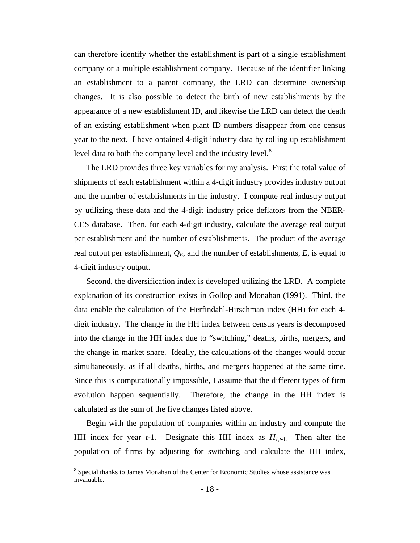can therefore identify whether the establishment is part of a single establishment company or a multiple establishment company. Because of the identifier linking an establishment to a parent company, the LRD can determine ownership changes. It is also possible to detect the birth of new establishments by the appearance of a new establishment ID, and likewise the LRD can detect the death of an existing establishment when plant ID numbers disappear from one census year to the next. I have obtained 4-digit industry data by rolling up establishment level data to both the company level and the industry level.<sup>[8](#page-18-0)</sup>

The LRD provides three key variables for my analysis. First the total value of shipments of each establishment within a 4-digit industry provides industry output and the number of establishments in the industry. I compute real industry output by utilizing these data and the 4-digit industry price deflators from the NBER-CES database. Then, for each 4-digit industry, calculate the average real output per establishment and the number of establishments. The product of the average real output per establishment,  $Q_E$ , and the number of establishments,  $E$ , is equal to 4-digit industry output.

Second, the diversification index is developed utilizing the LRD. A complete explanation of its construction exists in Gollop and Monahan (1991). Third, the data enable the calculation of the Herfindahl-Hirschman index (HH) for each 4 digit industry. The change in the HH index between census years is decomposed into the change in the HH index due to "switching," deaths, births, mergers, and the change in market share. Ideally, the calculations of the changes would occur simultaneously, as if all deaths, births, and mergers happened at the same time. Since this is computationally impossible, I assume that the different types of firm evolution happen sequentially. Therefore, the change in the HH index is calculated as the sum of the five changes listed above.

Begin with the population of companies within an industry and compute the HH index for year  $t-1$ . Designate this HH index as  $H_{1,t-1}$ . Then alter the population of firms by adjusting for switching and calculate the HH index,

<span id="page-18-0"></span><sup>&</sup>lt;sup>8</sup> Special thanks to James Monahan of the Center for Economic Studies whose assistance was invaluable.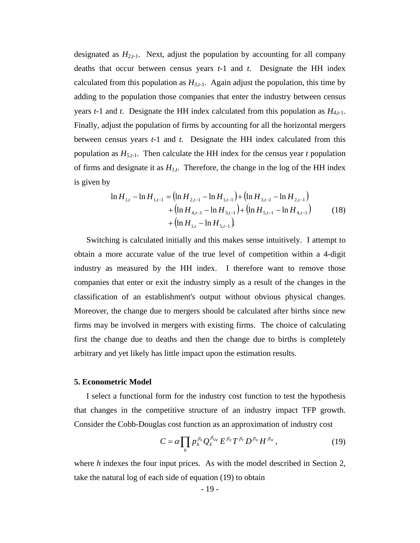designated as  $H_{2,t-1}$ . Next, adjust the population by accounting for all company deaths that occur between census years *t-*1 and *t*. Designate the HH index calculated from this population as  $H_{3,t-1}$ . Again adjust the population, this time by adding to the population those companies that enter the industry between census years  $t-1$  and  $t$ . Designate the HH index calculated from this population as  $H_{4,t-1}$ . Finally, adjust the population of firms by accounting for all the horizontal mergers between census years *t-*1 and *t*. Designate the HH index calculated from this population as  $H_{5,t-1}$ . Then calculate the HH index for the census year *t* population of firms and designate it as  $H_{1,t}$ . Therefore, the change in the log of the HH index is given by

$$
\ln H_{1,t} - \ln H_{1,t-1} = \left(\ln H_{2,t-1} - \ln H_{1,t-1}\right) + \left(\ln H_{3,t-1} - \ln H_{2,t-1}\right) + \left(\ln H_{4,t-1} - \ln H_{3,t-1}\right) + \left(\ln H_{5,t-1} - \ln H_{4,t-1}\right) + \left(\ln H_{1,t} - \ln H_{5,t-1}\right)
$$
(18)

Switching is calculated initially and this makes sense intuitively. I attempt to obtain a more accurate value of the true level of competition within a 4-digit industry as measured by the HH index. I therefore want to remove those companies that enter or exit the industry simply as a result of the changes in the classification of an establishment's output without obvious physical changes. Moreover, the change due to mergers should be calculated after births since new firms may be involved in mergers with existing firms. The choice of calculating first the change due to deaths and then the change due to births is completely arbitrary and yet likely has little impact upon the estimation results.

#### **5. Econometric Model**

I select a functional form for the industry cost function to test the hypothesis that changes in the competitive structure of an industry impact TFP growth. Consider the Cobb-Douglas cost function as an approximation of industry cost

$$
C = \alpha \prod_h p_h^{\beta_h} Q_E^{\beta_{0_E}} E^{\beta_E} T^{\beta_T} D^{\beta_D} H^{\beta_H}, \qquad (19)
$$

where *h* indexes the four input prices. As with the model described in Section 2, take the natural log of each side of equation (19) to obtain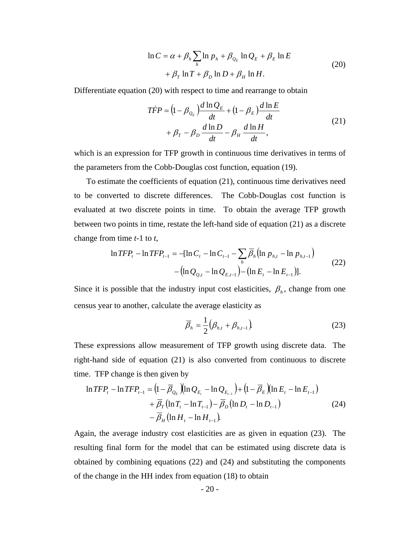$$
\ln C = \alpha + \beta_h \sum_{h} \ln p_h + \beta_{Q_E} \ln Q_E + \beta_E \ln E
$$
  
+  $\beta_T \ln T + \beta_D \ln D + \beta_H \ln H$ . (20)

Differentiate equation (20) with respect to time and rearrange to obtain

$$
\begin{split} T\dot{F}P &= \left(1 - \beta_{\mathcal{Q}_E}\right) \frac{d\ln Q_E}{dt} + \left(1 - \beta_E\right) \frac{d\ln E}{dt} \\ &+ \beta_T - \beta_D \frac{d\ln D}{dt} - \beta_H \frac{d\ln H}{dt}, \end{split} \tag{21}
$$

which is an expression for TFP growth in continuous time derivatives in terms of the parameters from the Cobb-Douglas cost function, equation (19).

 To estimate the coefficients of equation (21), continuous time derivatives need to be converted to discrete differences. The Cobb-Douglas cost function is evaluated at two discrete points in time. To obtain the average TFP growth between two points in time, restate the left-hand side of equation (21) as a discrete change from time *t-*1 to *t*,

$$
\ln TFP_t - \ln TFP_{t-1} = -[\ln C_t - \ln C_{t-1} - \sum_h \overline{\beta}_h (\ln p_{h,t} - \ln p_{h,t-1}) - (\ln Q_{e,t} - \ln Q_{E,t-1}) - (\ln E_t - \ln E_{t-1})].
$$
\n(22)

Since it is possible that the industry input cost elasticities,  $\beta_h$ , change from one census year to another, calculate the average elasticity as

$$
\overline{\beta}_h = \frac{1}{2} \big( \beta_{h,t} + \beta_{h,t-1} \big) \tag{23}
$$

These expressions allow measurement of TFP growth using discrete data. The right-hand side of equation (21) is also converted from continuous to discrete time. TFP change is then given by

$$
\ln TFP_t - \ln TFP_{t-1} = \left(1 - \overline{\beta}_{Q_E}\right)\left(\ln Q_{E_t} - \ln Q_{E_{t-1}}\right) + \left(1 - \overline{\beta}_E\right)\left(\ln E_t - \ln E_{t-1}\right) + \overline{\beta}_T\left(\ln T_t - \ln T_{t-1}\right) - \overline{\beta}_D\left(\ln D_t - \ln D_{t-1}\right) - \overline{\beta}_H\left(\ln H_t - \ln H_{t-1}\right)
$$
(24)

Again, the average industry cost elasticities are as given in equation (23). The resulting final form for the model that can be estimated using discrete data is obtained by combining equations (22) and (24) and substituting the components of the change in the HH index from equation (18) to obtain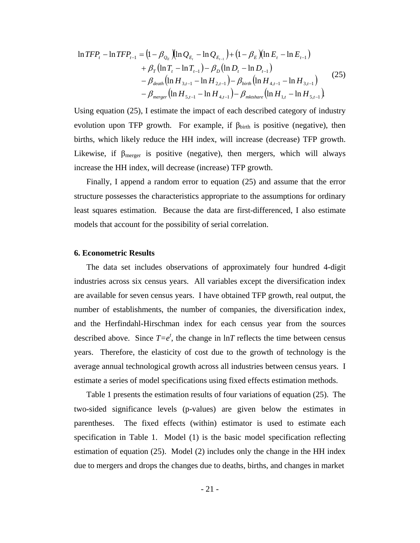$$
\ln TFP_{t} - \ln TFP_{t-1} = (1 - \beta_{Q_{E}})(\ln Q_{E_{t}} - \ln Q_{E_{t-1}}) + (1 - \beta_{E})(\ln E_{t} - \ln E_{t-1})
$$
  
+  $\beta_{T}(\ln T_{t} - \ln T_{t-1}) - \beta_{D}(\ln D_{t} - \ln D_{t-1})$   
-  $\beta_{death}(\ln H_{3,t-1} - \ln H_{2,t-1}) - \beta_{birth}(\ln H_{4,t-1} - \ln H_{3,t-1})$  (25)  
-  $\beta_{merge}(\ln H_{5,t-1} - \ln H_{4,t-1}) - \beta_{mktshare}(\ln H_{1,t} - \ln H_{5,t-1}).$ 

Using equation (25), I estimate the impact of each described category of industry evolution upon TFP growth. For example, if  $\beta_{\text{birth}}$  is positive (negative), then births, which likely reduce the HH index, will increase (decrease) TFP growth. Likewise, if  $\beta_{\text{merger}}$  is positive (negative), then mergers, which will always increase the HH index, will decrease (increase) TFP growth.

 Finally, I append a random error to equation (25) and assume that the error structure possesses the characteristics appropriate to the assumptions for ordinary least squares estimation. Because the data are first-differenced, I also estimate models that account for the possibility of serial correlation.

#### **6. Econometric Results**

 The data set includes observations of approximately four hundred 4-digit industries across six census years. All variables except the diversification index are available for seven census years. I have obtained TFP growth, real output, the number of establishments, the number of companies, the diversification index, and the Herfindahl-Hirschman index for each census year from the sources described above. Since  $T=e^t$ , the change in  $\ln T$  reflects the time between census years. Therefore, the elasticity of cost due to the growth of technology is the average annual technological growth across all industries between census years. I estimate a series of model specifications using fixed effects estimation methods.

 Table 1 presents the estimation results of four variations of equation (25). The two-sided significance levels (p-values) are given below the estimates in parentheses. The fixed effects (within) estimator is used to estimate each specification in Table 1. Model (1) is the basic model specification reflecting estimation of equation (25). Model (2) includes only the change in the HH index due to mergers and drops the changes due to deaths, births, and changes in market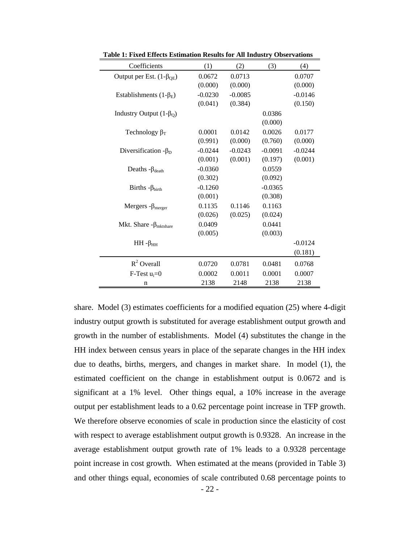| Coefficients                          | (1)       | (2)       | (3)       | (4)       |
|---------------------------------------|-----------|-----------|-----------|-----------|
| Output per Est. $(1-\beta_{QE})$      | 0.0672    | 0.0713    |           | 0.0707    |
|                                       | (0.000)   | (0.000)   |           | (0.000)   |
| Establishments $(1-\beta_E)$          | $-0.0230$ | $-0.0085$ |           | $-0.0146$ |
|                                       | (0.041)   | (0.384)   |           | (0.150)   |
| Industry Output $(1-\beta_Q)$         |           |           | 0.0386    |           |
|                                       |           |           | (0.000)   |           |
| Technology $\beta_T$                  | 0.0001    | 0.0142    | 0.0026    | 0.0177    |
|                                       | (0.991)   | (0.000)   | (0.760)   | (0.000)   |
| Diversification $-\beta_D$            | $-0.0244$ | $-0.0243$ | $-0.0091$ | $-0.0244$ |
|                                       | (0.001)   | (0.001)   | (0.197)   | (0.001)   |
| Deaths $-\beta_{death}$               | $-0.0360$ |           | 0.0559    |           |
|                                       | (0.302)   |           | (0.092)   |           |
| Births $-\beta_{birth}$               | $-0.1260$ |           | $-0.0365$ |           |
|                                       | (0.001)   |           | (0.308)   |           |
| Mergers - $\beta_{merger}$            | 0.1135    | 0.1146    | 0.1163    |           |
|                                       | (0.026)   | (0.025)   | (0.024)   |           |
| Mkt. Share $-\beta_{\text{mktshare}}$ | 0.0409    |           | 0.0441    |           |
|                                       | (0.005)   |           | (0.003)   |           |
| $HH - \beta_{HH}$                     |           |           |           | $-0.0124$ |
|                                       |           |           |           | (0.181)   |
| $R^2$ Overall                         | 0.0720    | 0.0781    | 0.0481    | 0.0768    |
| $F-Test$ $u_i=0$                      | 0.0002    | 0.0011    | 0.0001    | 0.0007    |
| n                                     | 2138      | 2148      | 2138      | 2138      |

**Table 1: Fixed Effects Estimation Results for All Industry Observations** 

share. Model (3) estimates coefficients for a modified equation (25) where 4-digit industry output growth is substituted for average establishment output growth and growth in the number of establishments. Model (4) substitutes the change in the HH index between census years in place of the separate changes in the HH index due to deaths, births, mergers, and changes in market share. In model (1), the estimated coefficient on the change in establishment output is 0.0672 and is significant at a 1% level. Other things equal, a 10% increase in the average output per establishment leads to a 0.62 percentage point increase in TFP growth. We therefore observe economies of scale in production since the elasticity of cost with respect to average establishment output growth is 0.9328. An increase in the average establishment output growth rate of 1% leads to a 0.9328 percentage point increase in cost growth. When estimated at the means (provided in Table 3) and other things equal, economies of scale contributed 0.68 percentage points to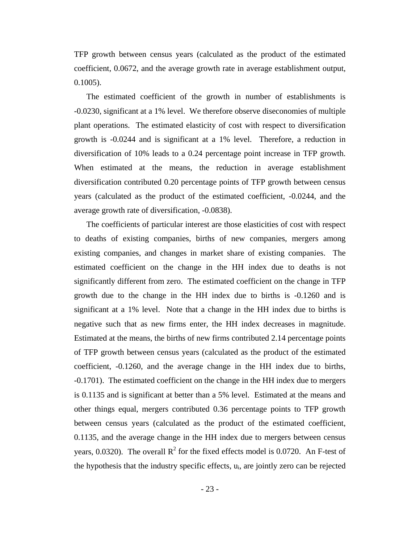TFP growth between census years (calculated as the product of the estimated coefficient, 0.0672, and the average growth rate in average establishment output, 0.1005).

 The estimated coefficient of the growth in number of establishments is -0.0230, significant at a 1% level. We therefore observe diseconomies of multiple plant operations. The estimated elasticity of cost with respect to diversification growth is -0.0244 and is significant at a 1% level. Therefore, a reduction in diversification of 10% leads to a 0.24 percentage point increase in TFP growth. When estimated at the means, the reduction in average establishment diversification contributed 0.20 percentage points of TFP growth between census years (calculated as the product of the estimated coefficient, -0.0244, and the average growth rate of diversification, -0.0838).

 The coefficients of particular interest are those elasticities of cost with respect to deaths of existing companies, births of new companies, mergers among existing companies, and changes in market share of existing companies. The estimated coefficient on the change in the HH index due to deaths is not significantly different from zero. The estimated coefficient on the change in TFP growth due to the change in the HH index due to births is -0.1260 and is significant at a 1% level. Note that a change in the HH index due to births is negative such that as new firms enter, the HH index decreases in magnitude. Estimated at the means, the births of new firms contributed 2.14 percentage points of TFP growth between census years (calculated as the product of the estimated coefficient, -0.1260, and the average change in the HH index due to births, -0.1701). The estimated coefficient on the change in the HH index due to mergers is 0.1135 and is significant at better than a 5% level. Estimated at the means and other things equal, mergers contributed 0.36 percentage points to TFP growth between census years (calculated as the product of the estimated coefficient, 0.1135, and the average change in the HH index due to mergers between census years, 0.0320). The overall  $R^2$  for the fixed effects model is 0.0720. An F-test of the hypothesis that the industry specific effects,  $u_i$ , are jointly zero can be rejected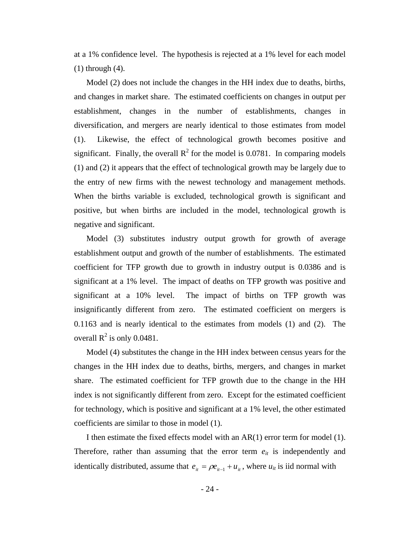at a 1% confidence level. The hypothesis is rejected at a 1% level for each model (1) through (4).

 Model (2) does not include the changes in the HH index due to deaths, births, and changes in market share. The estimated coefficients on changes in output per establishment, changes in the number of establishments, changes in diversification, and mergers are nearly identical to those estimates from model (1). Likewise, the effect of technological growth becomes positive and significant. Finally, the overall  $R^2$  for the model is 0.0781. In comparing models (1) and (2) it appears that the effect of technological growth may be largely due to the entry of new firms with the newest technology and management methods. When the births variable is excluded, technological growth is significant and positive, but when births are included in the model, technological growth is negative and significant.

 Model (3) substitutes industry output growth for growth of average establishment output and growth of the number of establishments. The estimated coefficient for TFP growth due to growth in industry output is 0.0386 and is significant at a 1% level. The impact of deaths on TFP growth was positive and significant at a 10% level. The impact of births on TFP growth was insignificantly different from zero. The estimated coefficient on mergers is 0.1163 and is nearly identical to the estimates from models (1) and (2). The overall  $R^2$  is only 0.0481.

 Model (4) substitutes the change in the HH index between census years for the changes in the HH index due to deaths, births, mergers, and changes in market share. The estimated coefficient for TFP growth due to the change in the HH index is not significantly different from zero. Except for the estimated coefficient for technology, which is positive and significant at a 1% level, the other estimated coefficients are similar to those in model (1).

I then estimate the fixed effects model with an AR(1) error term for model (1). Therefore, rather than assuming that the error term  $e_{it}$  is independently and identically distributed, assume that  $e_{it} = \rho e_{it-1} + u_{it}$ , where  $u_{it}$  is iid normal with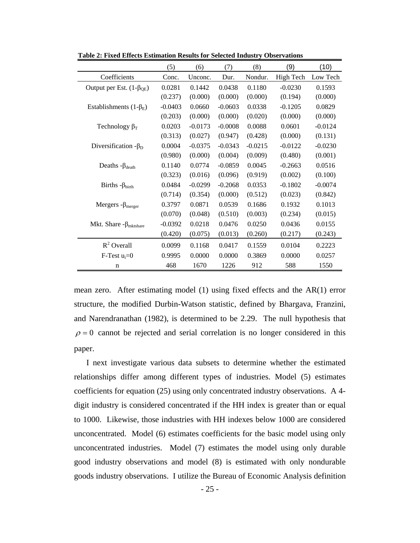|                                    | (5)       | (6)       | (7)       | (8)       | (9)       | (10)      |
|------------------------------------|-----------|-----------|-----------|-----------|-----------|-----------|
| Coefficients                       | Conc.     | Unconc.   | Dur.      | Nondur.   | High Tech | Low Tech  |
| Output per Est. $(1-\beta_{OE})$   | 0.0281    | 0.1442    | 0.0438    | 0.1180    | $-0.0230$ | 0.1593    |
|                                    | (0.237)   | (0.000)   | (0.000)   | (0.000)   | (0.194)   | (0.000)   |
| Establishments $(1-\beta_E)$       | $-0.0403$ | 0.0660    | $-0.0603$ | 0.0338    | $-0.1205$ | 0.0829    |
|                                    | (0.203)   | (0.000)   | (0.000)   | (0.020)   | (0.000)   | (0.000)   |
| Technology $\beta_T$               | 0.0203    | $-0.0173$ | $-0.0008$ | 0.0088    | 0.0601    | $-0.0124$ |
|                                    | (0.313)   | (0.027)   | (0.947)   | (0.428)   | (0.000)   | (0.131)   |
| Diversification $-\beta_D$         | 0.0004    | $-0.0375$ | $-0.0343$ | $-0.0215$ | $-0.0122$ | $-0.0230$ |
|                                    | (0.980)   | (0.000)   | (0.004)   | (0.009)   | (0.480)   | (0.001)   |
| Deaths $-\beta_{death}$            | 0.1140    | 0.0774    | $-0.0859$ | 0.0045    | $-0.2663$ | 0.0516    |
|                                    | (0.323)   | (0.016)   | (0.096)   | (0.919)   | (0.002)   | (0.100)   |
| Births $-\beta_{birth}$            | 0.0484    | $-0.0299$ | $-0.2068$ | 0.0353    | $-0.1802$ | $-0.0074$ |
|                                    | (0.714)   | (0.354)   | (0.000)   | (0.512)   | (0.023)   | (0.842)   |
| Mergers - $\beta_{merger}$         | 0.3797    | 0.0871    | 0.0539    | 0.1686    | 0.1932    | 0.1013    |
|                                    | (0.070)   | (0.048)   | (0.510)   | (0.003)   | (0.234)   | (0.015)   |
| Mkt. Share $-\beta_{\rm mktshare}$ | $-0.0392$ | 0.0218    | 0.0476    | 0.0250    | 0.0436    | 0.0155    |
|                                    | (0.420)   | (0.075)   | (0.013)   | (0.260)   | (0.217)   | (0.243)   |
| $R^2$ Overall                      | 0.0099    | 0.1168    | 0.0417    | 0.1559    | 0.0104    | 0.2223    |
| $F-Test$ $u_i=0$                   | 0.9995    | 0.0000    | 0.0000    | 0.3869    | 0.0000    | 0.0257    |
| n                                  | 468       | 1670      | 1226      | 912       | 588       | 1550      |

**Table 2: Fixed Effects Estimation Results for Selected Industry Observations** 

mean zero. After estimating model (1) using fixed effects and the AR(1) error structure, the modified Durbin-Watson statistic, defined by Bhargava, Franzini, and Narendranathan (1982), is determined to be 2.29. The null hypothesis that  $\rho = 0$  cannot be rejected and serial correlation is no longer considered in this paper.

 I next investigate various data subsets to determine whether the estimated relationships differ among different types of industries. Model (5) estimates coefficients for equation (25) using only concentrated industry observations. A 4 digit industry is considered concentrated if the HH index is greater than or equal to 1000. Likewise, those industries with HH indexes below 1000 are considered unconcentrated. Model (6) estimates coefficients for the basic model using only unconcentrated industries. Model (7) estimates the model using only durable good industry observations and model (8) is estimated with only nondurable goods industry observations. I utilize the Bureau of Economic Analysis definition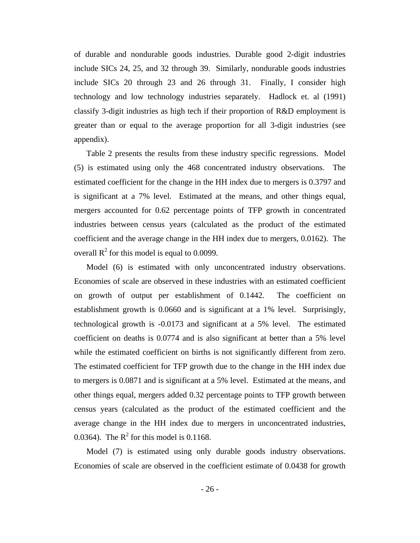of durable and nondurable goods industries. Durable good 2-digit industries include SICs 24, 25, and 32 through 39. Similarly, nondurable goods industries include SICs 20 through 23 and 26 through 31. Finally, I consider high technology and low technology industries separately. Hadlock et. al (1991) classify 3-digit industries as high tech if their proportion of R&D employment is greater than or equal to the average proportion for all 3-digit industries (see appendix).

 Table 2 presents the results from these industry specific regressions. Model (5) is estimated using only the 468 concentrated industry observations. The estimated coefficient for the change in the HH index due to mergers is 0.3797 and is significant at a 7% level. Estimated at the means, and other things equal, mergers accounted for 0.62 percentage points of TFP growth in concentrated industries between census years (calculated as the product of the estimated coefficient and the average change in the HH index due to mergers, 0.0162). The overall  $R^2$  for this model is equal to 0.0099.

 Model (6) is estimated with only unconcentrated industry observations. Economies of scale are observed in these industries with an estimated coefficient on growth of output per establishment of 0.1442. The coefficient on establishment growth is 0.0660 and is significant at a 1% level. Surprisingly, technological growth is -0.0173 and significant at a 5% level. The estimated coefficient on deaths is 0.0774 and is also significant at better than a 5% level while the estimated coefficient on births is not significantly different from zero. The estimated coefficient for TFP growth due to the change in the HH index due to mergers is 0.0871 and is significant at a 5% level. Estimated at the means, and other things equal, mergers added 0.32 percentage points to TFP growth between census years (calculated as the product of the estimated coefficient and the average change in the HH index due to mergers in unconcentrated industries, 0.0364). The  $R^2$  for this model is 0.1168.

 Model (7) is estimated using only durable goods industry observations. Economies of scale are observed in the coefficient estimate of 0.0438 for growth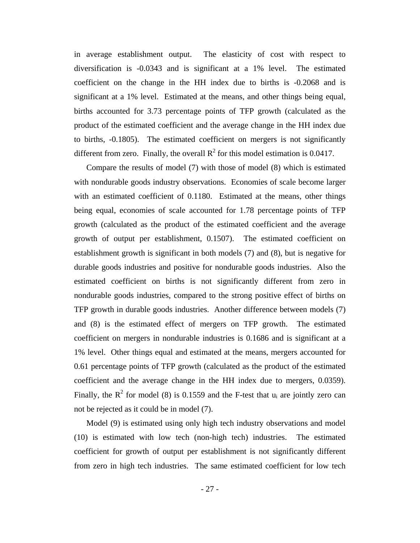in average establishment output. The elasticity of cost with respect to diversification is -0.0343 and is significant at a 1% level. The estimated coefficient on the change in the HH index due to births is -0.2068 and is significant at a 1% level. Estimated at the means, and other things being equal, births accounted for 3.73 percentage points of TFP growth (calculated as the product of the estimated coefficient and the average change in the HH index due to births, -0.1805). The estimated coefficient on mergers is not significantly different from zero. Finally, the overall  $R^2$  for this model estimation is 0.0417.

 Compare the results of model (7) with those of model (8) which is estimated with nondurable goods industry observations. Economies of scale become larger with an estimated coefficient of 0.1180. Estimated at the means, other things being equal, economies of scale accounted for 1.78 percentage points of TFP growth (calculated as the product of the estimated coefficient and the average growth of output per establishment, 0.1507). The estimated coefficient on establishment growth is significant in both models (7) and (8), but is negative for durable goods industries and positive for nondurable goods industries. Also the estimated coefficient on births is not significantly different from zero in nondurable goods industries, compared to the strong positive effect of births on TFP growth in durable goods industries. Another difference between models (7) and (8) is the estimated effect of mergers on TFP growth. The estimated coefficient on mergers in nondurable industries is 0.1686 and is significant at a 1% level. Other things equal and estimated at the means, mergers accounted for 0.61 percentage points of TFP growth (calculated as the product of the estimated coefficient and the average change in the HH index due to mergers, 0.0359). Finally, the  $R^2$  for model (8) is 0.1559 and the F-test that  $u_i$  are jointly zero can not be rejected as it could be in model (7).

 Model (9) is estimated using only high tech industry observations and model (10) is estimated with low tech (non-high tech) industries. The estimated coefficient for growth of output per establishment is not significantly different from zero in high tech industries. The same estimated coefficient for low tech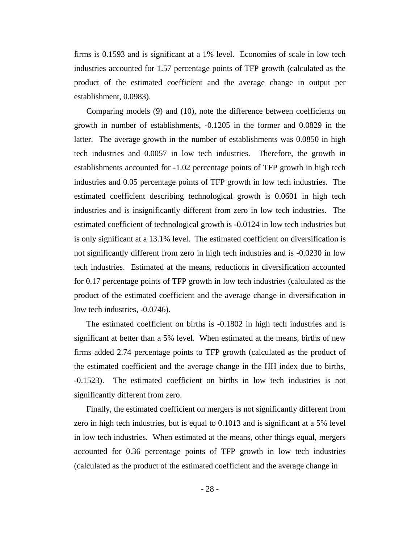firms is 0.1593 and is significant at a 1% level. Economies of scale in low tech industries accounted for 1.57 percentage points of TFP growth (calculated as the product of the estimated coefficient and the average change in output per establishment, 0.0983).

 Comparing models (9) and (10), note the difference between coefficients on growth in number of establishments, -0.1205 in the former and 0.0829 in the latter. The average growth in the number of establishments was 0.0850 in high tech industries and 0.0057 in low tech industries. Therefore, the growth in establishments accounted for -1.02 percentage points of TFP growth in high tech industries and 0.05 percentage points of TFP growth in low tech industries. The estimated coefficient describing technological growth is 0.0601 in high tech industries and is insignificantly different from zero in low tech industries. The estimated coefficient of technological growth is -0.0124 in low tech industries but is only significant at a 13.1% level. The estimated coefficient on diversification is not significantly different from zero in high tech industries and is -0.0230 in low tech industries. Estimated at the means, reductions in diversification accounted for 0.17 percentage points of TFP growth in low tech industries (calculated as the product of the estimated coefficient and the average change in diversification in low tech industries, -0.0746).

 The estimated coefficient on births is -0.1802 in high tech industries and is significant at better than a 5% level. When estimated at the means, births of new firms added 2.74 percentage points to TFP growth (calculated as the product of the estimated coefficient and the average change in the HH index due to births, -0.1523). The estimated coefficient on births in low tech industries is not significantly different from zero.

 Finally, the estimated coefficient on mergers is not significantly different from zero in high tech industries, but is equal to 0.1013 and is significant at a 5% level in low tech industries. When estimated at the means, other things equal, mergers accounted for 0.36 percentage points of TFP growth in low tech industries (calculated as the product of the estimated coefficient and the average change in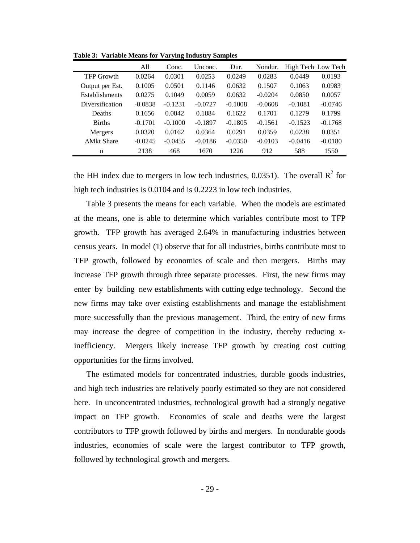|                       | All       | Conc.     | Unconc.   | Dur.      | Nondur.   |           | High Tech Low Tech |
|-----------------------|-----------|-----------|-----------|-----------|-----------|-----------|--------------------|
| <b>TFP Growth</b>     | 0.0264    | 0.0301    | 0.0253    | 0.0249    | 0.0283    | 0.0449    | 0.0193             |
| Output per Est.       | 0.1005    | 0.0501    | 0.1146    | 0.0632    | 0.1507    | 0.1063    | 0.0983             |
| <b>Establishments</b> | 0.0275    | 0.1049    | 0.0059    | 0.0632    | $-0.0204$ | 0.0850    | 0.0057             |
| Diversification       | $-0.0838$ | $-0.1231$ | $-0.0727$ | $-0.1008$ | $-0.0608$ | $-0.1081$ | $-0.0746$          |
| Deaths                | 0.1656    | 0.0842    | 0.1884    | 0.1622    | 0.1701    | 0.1279    | 0.1799             |
| <b>Births</b>         | $-0.1701$ | $-0.1000$ | $-0.1897$ | $-0.1805$ | $-0.1561$ | $-0.1523$ | $-0.1768$          |
| Mergers               | 0.0320    | 0.0162    | 0.0364    | 0.0291    | 0.0359    | 0.0238    | 0.0351             |
| <b>AMkt Share</b>     | $-0.0245$ | $-0.0455$ | $-0.0186$ | $-0.0350$ | $-0.0103$ | $-0.0416$ | $-0.0180$          |
| n                     | 2138      | 468       | 1670      | 1226      | 912       | 588       | 1550               |

**Table 3: Variable Means for Varying Industry Samples** 

the HH index due to mergers in low tech industries, 0.0351). The overall  $\mathbb{R}^2$  for high tech industries is 0.0104 and is 0.2223 in low tech industries.

 Table 3 presents the means for each variable. When the models are estimated at the means, one is able to determine which variables contribute most to TFP growth. TFP growth has averaged 2.64% in manufacturing industries between census years. In model (1) observe that for all industries, births contribute most to TFP growth, followed by economies of scale and then mergers. Births may increase TFP growth through three separate processes. First, the new firms may enter by building new establishments with cutting edge technology. Second the new firms may take over existing establishments and manage the establishment more successfully than the previous management. Third, the entry of new firms may increase the degree of competition in the industry, thereby reducing xinefficiency. Mergers likely increase TFP growth by creating cost cutting opportunities for the firms involved.

 The estimated models for concentrated industries, durable goods industries, and high tech industries are relatively poorly estimated so they are not considered here. In unconcentrated industries, technological growth had a strongly negative impact on TFP growth. Economies of scale and deaths were the largest contributors to TFP growth followed by births and mergers. In nondurable goods industries, economies of scale were the largest contributor to TFP growth, followed by technological growth and mergers.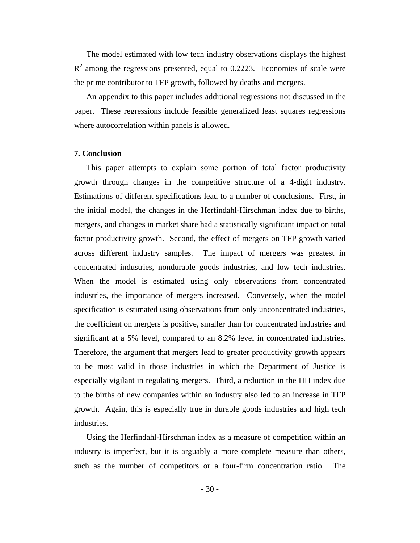The model estimated with low tech industry observations displays the highest  $R<sup>2</sup>$  among the regressions presented, equal to 0.2223. Economies of scale were the prime contributor to TFP growth, followed by deaths and mergers.

 An appendix to this paper includes additional regressions not discussed in the paper. These regressions include feasible generalized least squares regressions where autocorrelation within panels is allowed.

#### **7. Conclusion**

 This paper attempts to explain some portion of total factor productivity growth through changes in the competitive structure of a 4-digit industry. Estimations of different specifications lead to a number of conclusions. First, in the initial model, the changes in the Herfindahl-Hirschman index due to births, mergers, and changes in market share had a statistically significant impact on total factor productivity growth. Second, the effect of mergers on TFP growth varied across different industry samples. The impact of mergers was greatest in concentrated industries, nondurable goods industries, and low tech industries. When the model is estimated using only observations from concentrated industries, the importance of mergers increased. Conversely, when the model specification is estimated using observations from only unconcentrated industries, the coefficient on mergers is positive, smaller than for concentrated industries and significant at a 5% level, compared to an 8.2% level in concentrated industries. Therefore, the argument that mergers lead to greater productivity growth appears to be most valid in those industries in which the Department of Justice is especially vigilant in regulating mergers. Third, a reduction in the HH index due to the births of new companies within an industry also led to an increase in TFP growth. Again, this is especially true in durable goods industries and high tech industries.

 Using the Herfindahl-Hirschman index as a measure of competition within an industry is imperfect, but it is arguably a more complete measure than others, such as the number of competitors or a four-firm concentration ratio. The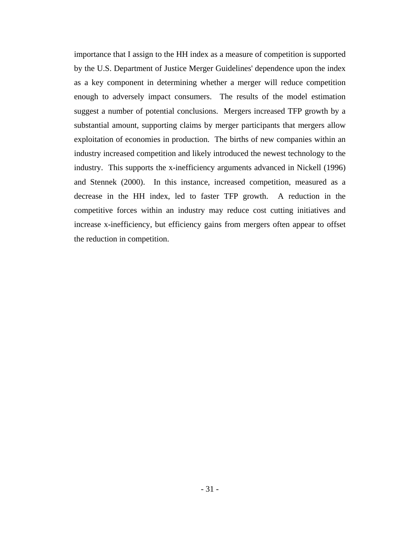importance that I assign to the HH index as a measure of competition is supported by the U.S. Department of Justice Merger Guidelines' dependence upon the index as a key component in determining whether a merger will reduce competition enough to adversely impact consumers. The results of the model estimation suggest a number of potential conclusions. Mergers increased TFP growth by a substantial amount, supporting claims by merger participants that mergers allow exploitation of economies in production. The births of new companies within an industry increased competition and likely introduced the newest technology to the industry. This supports the x-inefficiency arguments advanced in Nickell (1996) and Stennek (2000). In this instance, increased competition, measured as a decrease in the HH index, led to faster TFP growth. A reduction in the competitive forces within an industry may reduce cost cutting initiatives and increase x-inefficiency, but efficiency gains from mergers often appear to offset the reduction in competition.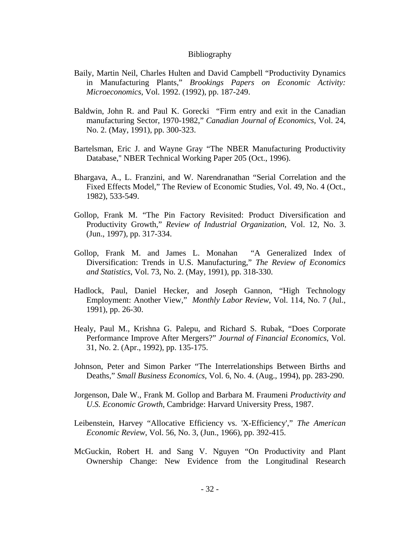#### Bibliography

- Baily, Martin Neil, Charles Hulten and David Campbell "Productivity Dynamics in Manufacturing Plants," *Brookings Papers on Economic Activity: Microeconomics*, Vol. 1992. (1992), pp. 187-249.
- Baldwin, John R. and Paul K. Gorecki "Firm entry and exit in the Canadian manufacturing Sector, 1970-1982," *Canadian Journal of Economics*, Vol. 24, No. 2. (May, 1991), pp. 300-323.
- Bartelsman, Eric J. and Wayne Gray "The NBER Manufacturing Productivity Database,'' NBER Technical Working Paper 205 (Oct., 1996).
- Bhargava, A., L. Franzini, and W. Narendranathan "Serial Correlation and the Fixed Effects Model," The Review of Economic Studies, Vol. 49, No. 4 (Oct., 1982), 533-549.
- Gollop, Frank M. "The Pin Factory Revisited: Product Diversification and Productivity Growth," *Review of Industrial Organization*, Vol. 12, No. 3. (Jun., 1997), pp. 317-334.
- Gollop, Frank M. and James L. Monahan "A Generalized Index of Diversification: Trends in U.S. Manufacturing," *The Review of Economics and Statistics*, Vol. 73, No. 2. (May, 1991), pp. 318-330.
- Hadlock, Paul, Daniel Hecker, and Joseph Gannon, "High Technology Employment: Another View," *Monthly Labor Review*, Vol. 114, No. 7 (Jul., 1991), pp. 26-30.
- Healy, Paul M., Krishna G. Palepu, and Richard S. Rubak, "Does Corporate Performance Improve After Mergers?" *Journal of Financial Economics*, Vol. 31, No. 2. (Apr., 1992), pp. 135-175.
- Johnson, Peter and Simon Parker "The Interrelationships Between Births and Deaths," *Small Business Economics*, Vol. 6, No. 4. (Aug., 1994), pp. 283-290.
- Jorgenson, Dale W., Frank M. Gollop and Barbara M. Fraumeni *Productivity and U.S. Economic Growth*, Cambridge: Harvard University Press, 1987.
- Leibenstein, Harvey "Allocative Efficiency vs. 'X-Efficiency'," *The American Economic Review*, Vol. 56, No. 3, (Jun., 1966), pp. 392-415.
- McGuckin, Robert H. and Sang V. Nguyen "On Productivity and Plant Ownership Change: New Evidence from the Longitudinal Research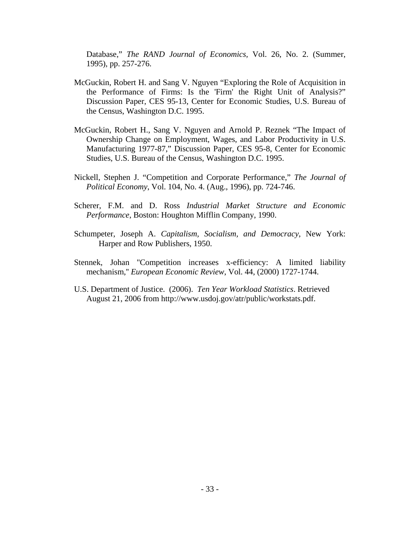Database," *The RAND Journal of Economics,* Vol. 26, No. 2. (Summer, 1995), pp. 257-276.

- McGuckin, Robert H. and Sang V. Nguyen "Exploring the Role of Acquisition in the Performance of Firms: Is the 'Firm' the Right Unit of Analysis?" Discussion Paper, CES 95-13, Center for Economic Studies, U.S. Bureau of the Census, Washington D.C. 1995.
- McGuckin, Robert H., Sang V. Nguyen and Arnold P. Reznek "The Impact of Ownership Change on Employment, Wages, and Labor Productivity in U.S. Manufacturing 1977-87," Discussion Paper, CES 95-8, Center for Economic Studies, U.S. Bureau of the Census, Washington D.C. 1995.
- Nickell, Stephen J. "Competition and Corporate Performance," *The Journal of Political Economy*, Vol. 104, No. 4. (Aug., 1996), pp. 724-746.
- Scherer, F.M. and D. Ross *Industrial Market Structure and Economic Performance*, Boston: Houghton Mifflin Company, 1990.
- Schumpeter, Joseph A. *Capitalism, Socialism, and Democracy*, New York: Harper and Row Publishers, 1950.
- Stennek, Johan ''Competition increases x-efficiency: A limited liability mechanism,'' *European Economic Review*, Vol. 44, (2000) 1727-1744.
- U.S. Department of Justice. (2006). *Ten Year Workload Statistics*. Retrieved August 21, 2006 from http://www.usdoj.gov/atr/public/workstats.pdf.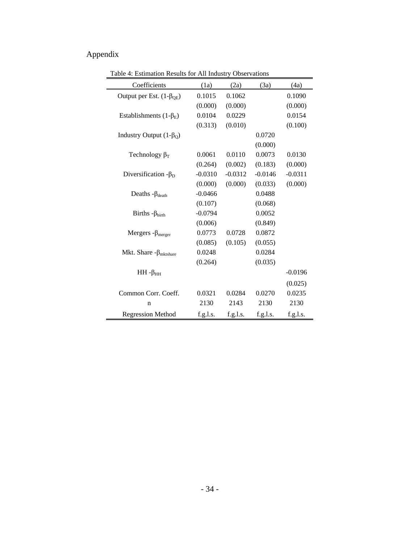# Appendix

| Coefficients                     | (1a)      | (2a)      | (3a)      | (4a)      |
|----------------------------------|-----------|-----------|-----------|-----------|
| Output per Est. $(1-\beta_{OE})$ | 0.1015    | 0.1062    |           | 0.1090    |
|                                  | (0.000)   | (0.000)   |           | (0.000)   |
| Establishments $(1-\beta_E)$     | 0.0104    | 0.0229    |           | 0.0154    |
|                                  | (0.313)   | (0.010)   |           | (0.100)   |
| Industry Output $(1-\beta_0)$    |           |           | 0.0720    |           |
|                                  |           |           | (0.000)   |           |
| Technology $\beta_T$             | 0.0061    | 0.0110    | 0.0073    | 0.0130    |
|                                  | (0.264)   | (0.002)   | (0.183)   | (0.000)   |
| Diversification $-\beta_D$       | $-0.0310$ | $-0.0312$ | $-0.0146$ | $-0.0311$ |
|                                  | (0.000)   | (0.000)   | (0.033)   | (0.000)   |
| Deaths - $\beta_{death}$         | $-0.0466$ |           | 0.0488    |           |
|                                  | (0.107)   |           | (0.068)   |           |
| Births - $\beta_{birth}$         | $-0.0794$ |           | 0.0052    |           |
|                                  | (0.006)   |           | (0.849)   |           |
| Mergers - $\beta_{merger}$       | 0.0773    | 0.0728    | 0.0872    |           |
|                                  | (0.085)   | (0.105)   | (0.055)   |           |
| Mkt. Share $-\beta_{mktshare}$   | 0.0248    |           | 0.0284    |           |
|                                  | (0.264)   |           | (0.035)   |           |
| $HH - \beta_{HH}$                |           |           |           | $-0.0196$ |
|                                  |           |           |           | (0.025)   |
| Common Corr. Coeff.              | 0.0321    | 0.0284    | 0.0270    | 0.0235    |
| $\mathbf n$                      | 2130      | 2143      | 2130      | 2130      |
| Regression Method                | f.g.l.s.  | f.g.l.s.  | f.g.l.s.  | f.g.l.s.  |

Table 4: Estimation Results for All Industry Observations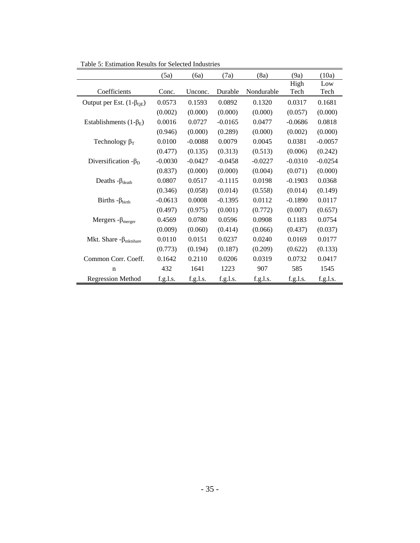|                                       | (5a)      | (6a)      | (7a)      | (8a)       | (9a)         | (10a)       |
|---------------------------------------|-----------|-----------|-----------|------------|--------------|-------------|
| Coefficients                          | Conc.     | Unconc.   | Durable   | Nondurable | High<br>Tech | Low<br>Tech |
| Output per Est. $(1-\beta_{OE})$      | 0.0573    | 0.1593    | 0.0892    | 0.1320     | 0.0317       | 0.1681      |
|                                       | (0.002)   | (0.000)   | (0.000)   | (0.000)    | (0.057)      | (0.000)     |
| Establishments $(1-\beta_E)$          | 0.0016    | 0.0727    | $-0.0165$ | 0.0477     | $-0.0686$    | 0.0818      |
|                                       | (0.946)   | (0.000)   | (0.289)   | (0.000)    | (0.002)      | (0.000)     |
| Technology $\beta_T$                  | 0.0100    | $-0.0088$ | 0.0079    | 0.0045     | 0.0381       | $-0.0057$   |
|                                       | (0.477)   | (0.135)   | (0.313)   | (0.513)    | (0.006)      | (0.242)     |
| Diversification $-\beta_D$            | $-0.0030$ | $-0.0427$ | $-0.0458$ | $-0.0227$  | $-0.0310$    | $-0.0254$   |
|                                       | (0.837)   | (0.000)   | (0.000)   | (0.004)    | (0.071)      | (0.000)     |
| Deaths $-\beta_{death}$               | 0.0807    | 0.0517    | $-0.1115$ | 0.0198     | $-0.1903$    | 0.0368      |
|                                       | (0.346)   | (0.058)   | (0.014)   | (0.558)    | (0.014)      | (0.149)     |
| Births $-\beta_{birth}$               | $-0.0613$ | 0.0008    | $-0.1395$ | 0.0112     | $-0.1890$    | 0.0117      |
|                                       | (0.497)   | (0.975)   | (0.001)   | (0.772)    | (0.007)      | (0.657)     |
| Mergers - $\beta_{merger}$            | 0.4569    | 0.0780    | 0.0596    | 0.0908     | 0.1183       | 0.0754      |
|                                       | (0.009)   | (0.060)   | (0.414)   | (0.066)    | (0.437)      | (0.037)     |
| Mkt. Share $-\beta_{\text{mktshare}}$ | 0.0110    | 0.0151    | 0.0237    | 0.0240     | 0.0169       | 0.0177      |
|                                       | (0.773)   | (0.194)   | (0.187)   | (0.209)    | (0.622)      | (0.133)     |
| Common Corr. Coeff.                   | 0.1642    | 0.2110    | 0.0206    | 0.0319     | 0.0732       | 0.0417      |
| n                                     | 432       | 1641      | 1223      | 907        | 585          | 1545        |
| <b>Regression Method</b>              | f.g.l.s.  | f.g.l.s.  | f.g.l.s.  | f.g.l.s.   | f.g.l.s.     | f.g.l.s.    |